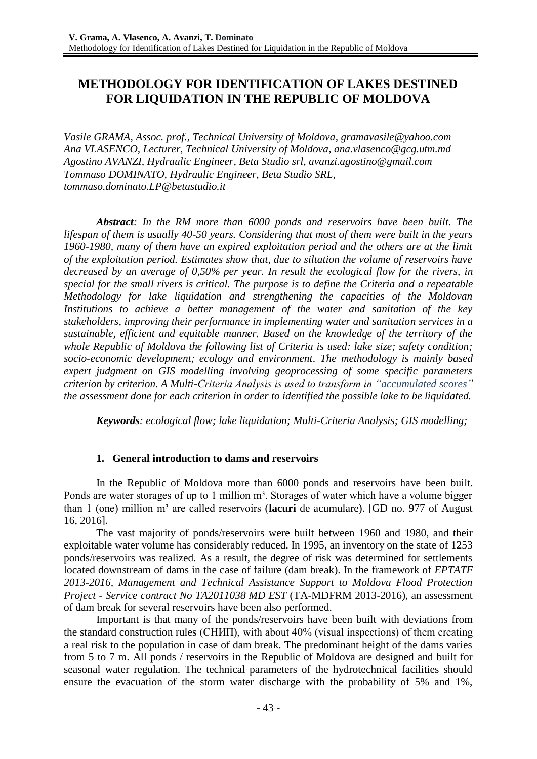# **METHODOLOGY FOR IDENTIFICATION OF LAKES DESTINED FOR LIQUIDATION IN THE REPUBLIC OF MOLDOVA**

*Vasile GRAMA, Assoc. prof., Technical University of Moldova, gramavasile@yahoo.com Ana VLASENCO, Lecturer, Technical University of Moldova, ana.vlasenco@gcg.utm.md Agostino AVANZI, Hydraulic Engineer, Beta Studio srl, avanzi.agostino@gmail.com Tommaso DOMINATO, Hydraulic Engineer, Beta Studio SRL, [tommaso.dominato.LP@betastudio.it](mailto:tommaso.dominato.LP@betastudio.it)*

*Abstract: In the RM more than 6000 ponds and reservoirs have been built. The lifespan of them is usually 40-50 years. Considering that most of them were built in the years 1960-1980, many of them have an expired exploitation period and the others are at the limit of the exploitation period. Estimates show that, due to siltation the volume of reservoirs have decreased by an average of 0,50% per year. In result the ecological flow for the rivers, in special for the small rivers is critical. The purpose is to define the Criteria and a repeatable Methodology for lake liquidation and strengthening the capacities of the Moldovan Institutions to achieve a better management of the water and sanitation of the key stakeholders, improving their performance in implementing water and sanitation services in a sustainable, efficient and equitable manner. Based on the knowledge of the territory of the whole Republic of Moldova the following list of Criteria is used: lake size; safety condition; socio-economic development; ecology and environment. The methodology is mainly based expert judgment on GIS modelling involving geoprocessing of some specific parameters criterion by criterion. A Multi-Criteria Analysis is used to transform in "accumulated scores" the assessment done for each criterion in order to identified the possible lake to be liquidated.*

*Keywords: ecological flow; lake liquidation; Multi-Criteria Analysis; GIS modelling;*

## **1. General introduction to dams and reservoirs**

In the Republic of Moldova more than 6000 ponds and reservoirs have been built. Ponds are water storages of up to 1 million m<sup>3</sup>. Storages of water which have a volume bigger than 1 (one) million m<sup>3</sup> are called reservoirs (**lacuri** de acumulare). [GD no. 977 of August 16, 2016].

The vast majority of ponds/reservoirs were built between 1960 and 1980, and their exploitable water volume has considerably reduced. In 1995, an inventory on the state of 1253 ponds/reservoirs was realized. As a result, the degree of risk was determined for settlements located downstream of dams in the case of failure (dam break). In the framework of *EPTATF 2013-2016, Management and Technical Assistance Support to Moldova Flood Protection Project - Service contract No TA2011038 MD EST* (TA-MDFRM 2013-2016), an assessment of dam break for several reservoirs have been also performed.

Important is that many of the ponds/reservoirs have been built with deviations from the standard construction rules (СНИП), with about 40% (visual inspections) of them creating a real risk to the population in case of dam break. The predominant height of the dams varies from 5 to 7 m. All ponds / reservoirs in the Republic of Moldova are designed and built for seasonal water regulation. The technical parameters of the hydrotechnical facilities should ensure the evacuation of the storm water discharge with the probability of 5% and 1%,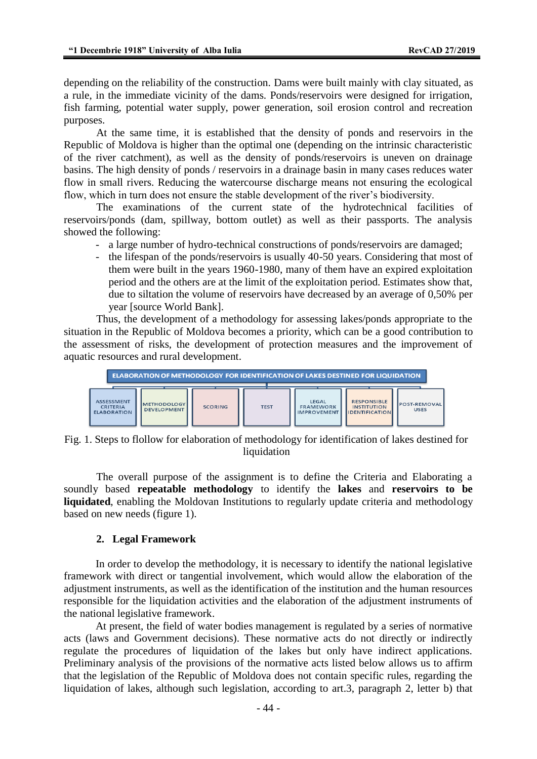depending on the reliability of the construction. Dams were built mainly with clay situated, as a rule, in the immediate vicinity of the dams. Ponds/reservoirs were designed for irrigation, fish farming, potential water supply, power generation, soil erosion control and recreation purposes.

At the same time, it is established that the density of ponds and reservoirs in the Republic of Moldova is higher than the optimal one (depending on the intrinsic characteristic of the river catchment), as well as the density of ponds/reservoirs is uneven on drainage basins. The high density of ponds / reservoirs in a drainage basin in many cases reduces water flow in small rivers. Reducing the watercourse discharge means not ensuring the ecological flow, which in turn does not ensure the stable development of the river's biodiversity.

The examinations of the current state of the hydrotechnical facilities of reservoirs/ponds (dam, spillway, bottom outlet) as well as their passports. The analysis showed the following:

- a large number of hydro-technical constructions of ponds/reservoirs are damaged;
- the lifespan of the ponds/reservoirs is usually 40-50 years. Considering that most of them were built in the years 1960-1980, many of them have an expired exploitation period and the others are at the limit of the exploitation period. Estimates show that, due to siltation the volume of reservoirs have decreased by an average of 0,50% per year [source World Bank].

Thus, the development of a methodology for assessing lakes/ponds appropriate to the situation in the Republic of Moldova becomes a priority, which can be a good contribution to the assessment of risks, the development of protection measures and the improvement of aquatic resources and rural development.



Fig. 1. Steps to flollow for elaboration of methodology for identification of lakes destined for liquidation

The overall purpose of the assignment is to define the Criteria and Elaborating a soundly based **repeatable methodology** to identify the **lakes** and **reservoirs to be liquidated**, enabling the Moldovan Institutions to regularly update criteria and methodology based on new needs (figure 1).

#### **2. Legal Framework**

In order to develop the methodology, it is necessary to identify the national legislative framework with direct or tangential involvement, which would allow the elaboration of the adjustment instruments, as well as the identification of the institution and the human resources responsible for the liquidation activities and the elaboration of the adjustment instruments of the national legislative framework.

At present, the field of water bodies management is regulated by a series of normative acts (laws and Government decisions). These normative acts do not directly or indirectly regulate the procedures of liquidation of the lakes but only have indirect applications. Preliminary analysis of the provisions of the normative acts listed below allows us to affirm that the legislation of the Republic of Moldova does not contain specific rules, regarding the liquidation of lakes, although such legislation, according to art.3, paragraph 2, letter b) that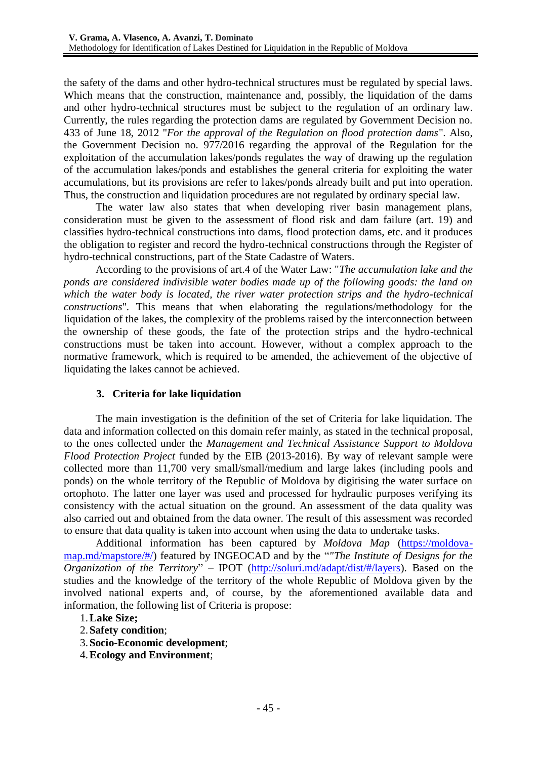the safety of the dams and other hydro-technical structures must be regulated by special laws. Which means that the construction, maintenance and, possibly, the liquidation of the dams and other hydro-technical structures must be subject to the regulation of an ordinary law. Currently, the rules regarding the protection dams are regulated by Government Decision no. 433 of June 18, 2012 "*For the approval of the Regulation on flood protection dams*". Also, the Government Decision no. 977/2016 regarding the approval of the Regulation for the exploitation of the accumulation lakes/ponds regulates the way of drawing up the regulation of the accumulation lakes/ponds and establishes the general criteria for exploiting the water accumulations, but its provisions are refer to lakes/ponds already built and put into operation. Thus, the construction and liquidation procedures are not regulated by ordinary special law.

The water law also states that when developing river basin management plans, consideration must be given to the assessment of flood risk and dam failure (art. 19) and classifies hydro-technical constructions into dams, flood protection dams, etc. and it produces the obligation to register and record the hydro-technical constructions through the Register of hydro-technical constructions, part of the State Cadastre of Waters.

According to the provisions of art.4 of the Water Law: "*The accumulation lake and the ponds are considered indivisible water bodies made up of the following goods: the land on which the water body is located, the river water protection strips and the hydro-technical constructions*". This means that when elaborating the regulations/methodology for the liquidation of the lakes, the complexity of the problems raised by the interconnection between the ownership of these goods, the fate of the protection strips and the hydro-technical constructions must be taken into account. However, without a complex approach to the normative framework, which is required to be amended, the achievement of the objective of liquidating the lakes cannot be achieved.

## **3. Criteria for lake liquidation**

The main investigation is the definition of the set of Criteria for lake liquidation. The data and information collected on this domain refer mainly, as stated in the technical proposal, to the ones collected under the *Management and Technical Assistance Support to Moldova Flood Protection Project* funded by the EIB (2013-2016). By way of relevant sample were collected more than 11,700 very small/small/medium and large lakes (including pools and ponds) on the whole territory of the Republic of Moldova by digitising the water surface on ortophoto. The latter one layer was used and processed for hydraulic purposes verifying its consistency with the actual situation on the ground. An assessment of the data quality was also carried out and obtained from the data owner. The result of this assessment was recorded to ensure that data quality is taken into account when using the data to undertake tasks.

Additional information has been captured by *Moldova Map* [\(https://moldova](https://moldova-map.md/mapstore/#/)[map.md/mapstore/#/\)](https://moldova-map.md/mapstore/#/) featured by INGEOCAD and by the "*"The Institute of Designs for the Organization of the Territory*" – IPOT [\(http://soluri.md/adapt/dist/#/layers\)](http://soluri.md/adapt/dist/#/layers). Based on the studies and the knowledge of the territory of the whole Republic of Moldova given by the involved national experts and, of course, by the aforementioned available data and information, the following list of Criteria is propose:

- 1.**Lake Size;**
- 2.**Safety condition**;
- 3.**Socio-Economic development**;
- 4.**Ecology and Environment**;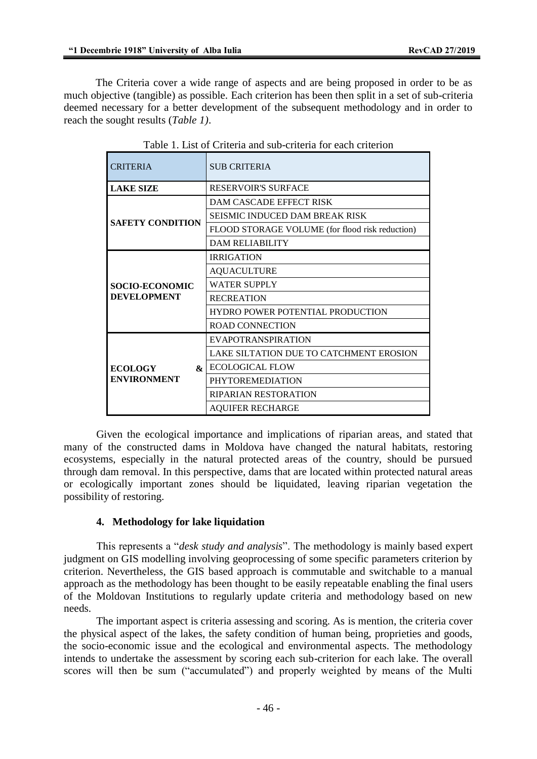The Criteria cover a wide range of aspects and are being proposed in order to be as much objective (tangible) as possible. Each criterion has been then split in a set of sub-criteria deemed necessary for a better development of the subsequent methodology and in order to reach the sought results (*Table 1)*.

| <b>CRITERIA</b>                                      | <b>SUB CRITERIA</b>                             |
|------------------------------------------------------|-------------------------------------------------|
| <b>LAKE SIZE</b>                                     | <b>RESERVOIR'S SURFACE</b>                      |
| <b>SAFETY CONDITION</b>                              | DAM CASCADE EFFECT RISK                         |
|                                                      | <b>SEISMIC INDUCED DAM BREAK RISK</b>           |
|                                                      | FLOOD STORAGE VOLUME (for flood risk reduction) |
|                                                      | <b>DAM RELIABILITY</b>                          |
| <b>SOCIO-ECONOMIC</b><br><b>DEVELOPMENT</b>          | <b>IRRIGATION</b>                               |
|                                                      | <b>AQUACULTURE</b>                              |
|                                                      | <b>WATER SUPPLY</b>                             |
|                                                      | <b>RECREATION</b>                               |
|                                                      | HYDRO POWER POTENTIAL PRODUCTION                |
|                                                      | <b>ROAD CONNECTION</b>                          |
| <b>ECOLOGY</b><br>$\mathbf{k}$<br><b>ENVIRONMENT</b> | <b>EVAPOTRANSPIRATION</b>                       |
|                                                      | LAKE SILTATION DUE TO CATCHMENT EROSION         |
|                                                      | <b>ECOLOGICAL FLOW</b>                          |
|                                                      | <b>PHYTOREMEDIATION</b>                         |
|                                                      | <b>RIPARIAN RESTORATION</b>                     |
|                                                      | <b>AOUIFER RECHARGE</b>                         |

Given the ecological importance and implications of riparian areas, and stated that many of the constructed dams in Moldova have changed the natural habitats, restoring ecosystems, especially in the natural protected areas of the country, should be pursued through dam removal. In this perspective, dams that are located within protected natural areas or ecologically important zones should be liquidated, leaving riparian vegetation the possibility of restoring.

#### **4. Methodology for lake liquidation**

This represents a "*desk study and analysis*". The methodology is mainly based expert judgment on GIS modelling involving geoprocessing of some specific parameters criterion by criterion. Nevertheless, the GIS based approach is commutable and switchable to a manual approach as the methodology has been thought to be easily repeatable enabling the final users of the Moldovan Institutions to regularly update criteria and methodology based on new needs.

The important aspect is criteria assessing and scoring. As is mention, the criteria cover the physical aspect of the lakes, the safety condition of human being, proprieties and goods, the socio-economic issue and the ecological and environmental aspects. The methodology intends to undertake the assessment by scoring each sub-criterion for each lake. The overall scores will then be sum ("accumulated") and properly weighted by means of the Multi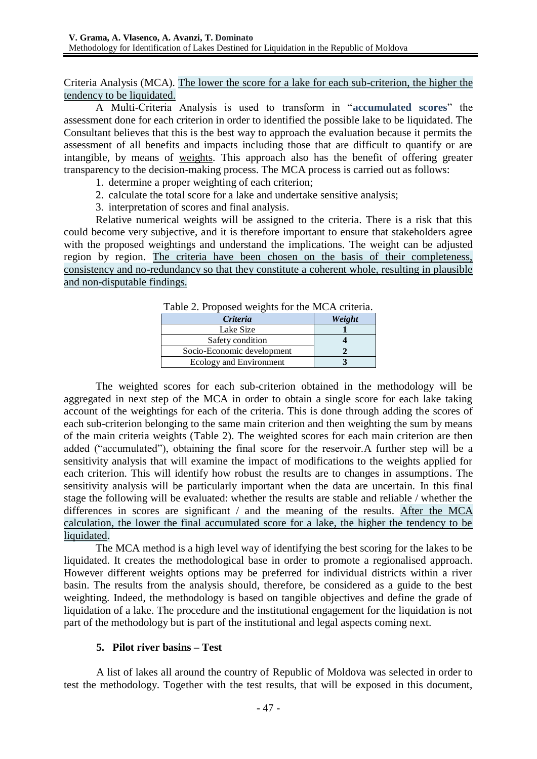Criteria Analysis (MCA). The lower the score for a lake for each sub-criterion, the higher the tendency to be liquidated.

A Multi-Criteria Analysis is used to transform in "**accumulated scores**" the assessment done for each criterion in order to identified the possible lake to be liquidated. The Consultant believes that this is the best way to approach the evaluation because it permits the assessment of all benefits and impacts including those that are difficult to quantify or are intangible, by means of weights. This approach also has the benefit of offering greater transparency to the decision-making process. The MCA process is carried out as follows:

- 1. determine a proper weighting of each criterion;
- 2. calculate the total score for a lake and undertake sensitive analysis;
- 3. interpretation of scores and final analysis.

Relative numerical weights will be assigned to the criteria. There is a risk that this could become very subjective, and it is therefore important to ensure that stakeholders agree with the proposed weightings and understand the implications. The weight can be adjusted region by region. The criteria have been chosen on the basis of their completeness, consistency and no-redundancy so that they constitute a coherent whole, resulting in plausible and non-disputable findings.

| Table 2. I Toposca weights for the MCA criteria. |        |
|--------------------------------------------------|--------|
| Criteria                                         | Weight |
| Lake Size                                        |        |
| Safety condition                                 |        |
| Socio-Economic development                       |        |
| Ecology and Environment                          |        |
|                                                  |        |

Table 2. Proposed weights for the MCA criteria*.*

<span id="page-4-0"></span>The weighted scores for each sub-criterion obtained in the methodology will be aggregated in next step of the MCA in order to obtain a single score for each lake taking account of the weightings for each of the criteria. This is done through adding the scores of each sub-criterion belonging to the same main criterion and then weighting the sum by means of the main criteria weights [\(Table 2\)](#page-4-0). The weighted scores for each main criterion are then added ("accumulated"), obtaining the final score for the reservoir.A further step will be a sensitivity analysis that will examine the impact of modifications to the weights applied for each criterion. This will identify how robust the results are to changes in assumptions. The sensitivity analysis will be particularly important when the data are uncertain. In this final stage the following will be evaluated: whether the results are stable and reliable / whether the differences in scores are significant / and the meaning of the results. After the MCA calculation, the lower the final accumulated score for a lake, the higher the tendency to be liquidated.

The MCA method is a high level way of identifying the best scoring for the lakes to be liquidated. It creates the methodological base in order to promote a regionalised approach. However different weights options may be preferred for individual districts within a river basin. The results from the analysis should, therefore, be considered as a guide to the best weighting. Indeed, the methodology is based on tangible objectives and define the grade of liquidation of a lake. The procedure and the institutional engagement for the liquidation is not part of the methodology but is part of the institutional and legal aspects coming next.

## **5. Pilot river basins – Test**

A list of lakes all around the country of Republic of Moldova was selected in order to test the methodology. Together with the test results, that will be exposed in this document,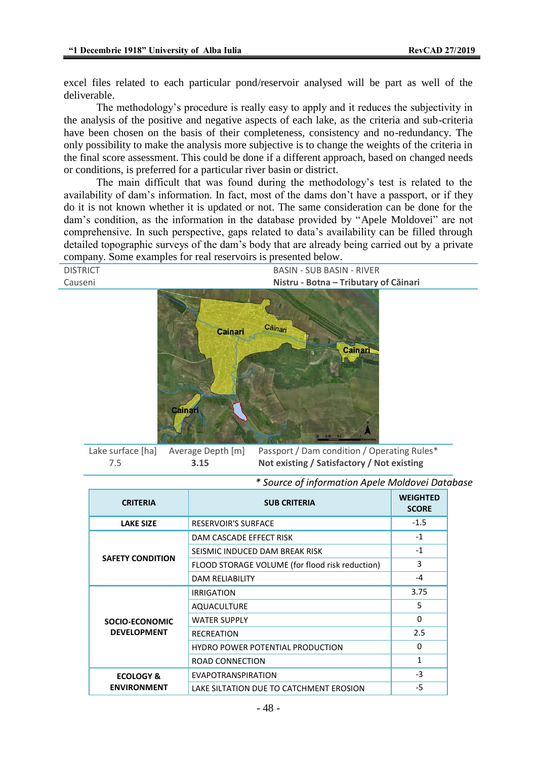excel files related to each particular pond/reservoir analysed will be part as well of the deliverable.

The methodology's procedure is really easy to apply and it reduces the subjectivity in the analysis of the positive and negative aspects of each lake, as the criteria and sub-criteria have been chosen on the basis of their completeness, consistency and no-redundancy. The only possibility to make the analysis more subjective is to change the weights of the criteria in the final score assessment. This could be done if a different approach, based on changed needs or conditions, is preferred for a particular river basin or district.

The main difficult that was found during the methodology's test is related to the availability of dam's information. In fact, most of the dams don't have a passport, or if they do it is not known whether it is updated or not. The same consideration can be done for the dam's condition, as the information in the database provided by "Apele Moldovei" are not comprehensive. In such perspective, gaps related to data's availability can be filled through detailed topographic surveys of the dam's body that are already being carried out by a private company. Some examples for real reservoirs is presented below.



Lake surface [ha] Average Depth [m] Passport / Dam condition / Operating Rules\* 7.5 **3.15 Not existing / Satisfactory / Not existing**

| <b>CRITERIA</b>                            | <b>SUB CRITERIA</b>                             | <b>WEIGHTED</b><br><b>SCORE</b> |
|--------------------------------------------|-------------------------------------------------|---------------------------------|
| <b>LAKE SIZE</b>                           | <b>RESERVOIR'S SURFACE</b>                      | $-1.5$                          |
| <b>SAFETY CONDITION</b>                    | DAM CASCADE EFFECT RISK                         | $-1$                            |
|                                            | SEISMIC INDUCED DAM BREAK RISK                  | $-1$                            |
|                                            | FLOOD STORAGE VOLUME (for flood risk reduction) | 3                               |
|                                            | <b>DAM RELIABILITY</b>                          | $-4$                            |
| SOCIO-ECONOMIC<br><b>DEVELOPMENT</b>       | <b>IRRIGATION</b>                               | 3.75                            |
|                                            | <b>AQUACULTURE</b>                              | 5                               |
|                                            | <b>WATER SUPPLY</b>                             | $\mathbf{0}$                    |
|                                            | <b>RECREATION</b>                               | 2.5                             |
|                                            | <b>HYDRO POWER POTENTIAL PRODUCTION</b>         | 0                               |
|                                            | ROAD CONNECTION                                 | $\mathbf{1}$                    |
| <b>ECOLOGY &amp;</b><br><b>ENVIRONMENT</b> | <b>EVAPOTRANSPIRATION</b>                       | $-3$                            |
|                                            | LAKE SILTATION DUE TO CATCHMENT EROSION         | -5                              |

*\* Source of information Apele Moldovei Database*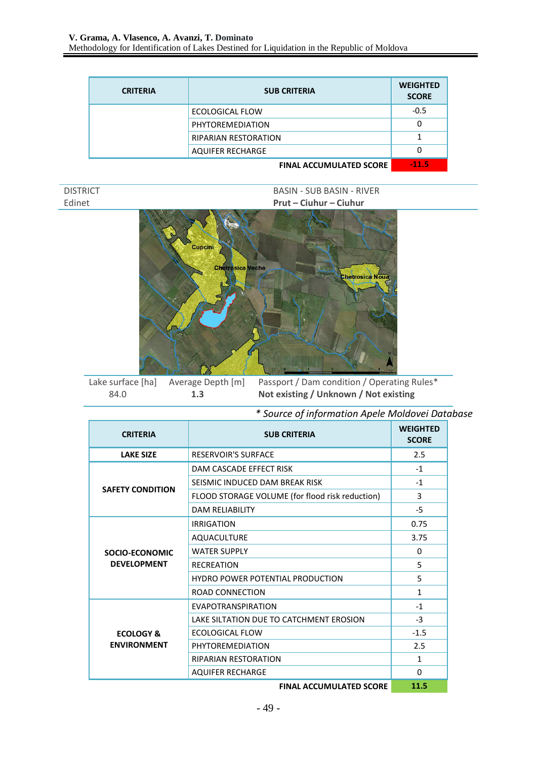| <b>CRITERIA</b> | <b>SUB CRITERIA</b>                | <b>WEIGHTED</b><br><b>SCORE</b> |
|-----------------|------------------------------------|---------------------------------|
|                 | ECOLOGICAL FLOW                    | $-0.5$                          |
|                 | PHYTOREMEDIATION                   | 0                               |
|                 | <b>RIPARIAN RESTORATION</b>        |                                 |
|                 | <b>AQUIFER RECHARGE</b>            | 0                               |
|                 | $F(1,1,1)$ a coursely affer cooper | 44 F                            |

**FINAL ACCUMULATED SCORE** 

| DISTRICT |
|----------|
| Fdinet   |

BASIN - SUB BASIN - RIVER Edinet **Prut – Ciuhur – Ciuhur**



Lake surface [ha] Average Depth [m] Passport / Dam condition / Operating Rules\* 84.0 **1.3 Not existing / Unknown / Not existing**

*\* Source of information Apele Moldovei Database*

| <b>CRITERIA</b>                            | <b>SUB CRITERIA</b>                             | <b>WEIGHTED</b><br><b>SCORE</b> |
|--------------------------------------------|-------------------------------------------------|---------------------------------|
| <b>LAKE SIZE</b>                           | <b>RESERVOIR'S SURFACE</b>                      | 2.5                             |
| <b>SAFETY CONDITION</b>                    | DAM CASCADE EFFECT RISK                         | $-1$                            |
|                                            | SEISMIC INDUCED DAM BREAK RISK                  | $-1$                            |
|                                            | FLOOD STORAGE VOLUME (for flood risk reduction) | 3                               |
|                                            | <b>DAM RELIABILITY</b>                          | $-5$                            |
| SOCIO-ECONOMIC<br><b>DEVELOPMENT</b>       | <b>IRRIGATION</b>                               | 0.75                            |
|                                            | <b>AQUACULTURE</b>                              | 3.75                            |
|                                            | <b>WATER SUPPLY</b>                             | 0                               |
|                                            | <b>RECREATION</b>                               | 5                               |
|                                            | <b>HYDRO POWER POTENTIAL PRODUCTION</b>         | 5.                              |
|                                            | ROAD CONNECTION                                 | $\mathbf{1}$                    |
| <b>ECOLOGY &amp;</b><br><b>ENVIRONMENT</b> | EVAPOTRANSPIRATION                              | $-1$                            |
|                                            | LAKE SILTATION DUE TO CATCHMENT EROSION         | $-3$                            |
|                                            | ECOLOGICAL FLOW                                 | $-1.5$                          |
|                                            | PHYTOREMEDIATION                                | 2.5                             |
|                                            | <b>RIPARIAN RESTORATION</b>                     | $\mathbf{1}$                    |
|                                            | <b>AQUIFER RECHARGE</b>                         | $\Omega$                        |
|                                            |                                                 | 44 F                            |

**FINAL ACCUMULATED SCORE 11.5**